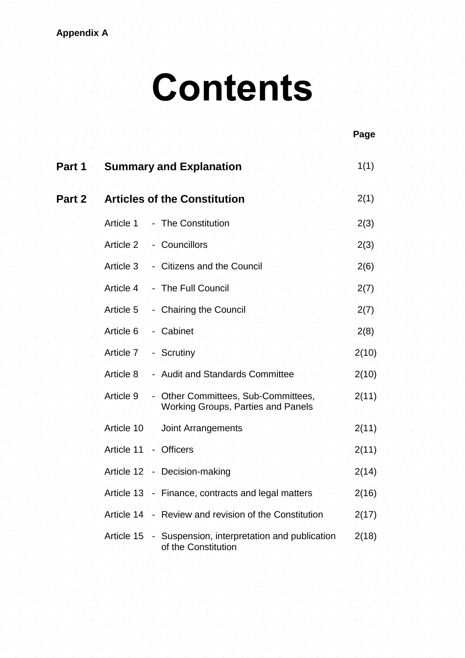## **Appendix A**

## **Contents**

|        |            |                                                                                | Page  |
|--------|------------|--------------------------------------------------------------------------------|-------|
| Part 1 |            | <b>Summary and Explanation</b>                                                 | 1(1)  |
| Part 2 |            | <b>Articles of the Constitution</b>                                            | 2(1)  |
|        | Article 1  | - The Constitution                                                             | 2(3)  |
|        | Article 2  | - Councillors                                                                  | 2(3)  |
|        | Article 3  | - Citizens and the Council                                                     | 2(6)  |
|        | Article 4  | - The Full Council                                                             | 2(7)  |
|        | Article 5  | - Chairing the Council                                                         | 2(7)  |
|        | Article 6  | - Cabinet                                                                      | 2(8)  |
|        | Article 7  | - Scrutiny                                                                     | 2(10) |
|        | Article 8  | - Audit and Standards Committee                                                | 2(10) |
|        | Article 9  | Other Committees, Sub-Committees,<br>Working Groups, Parties and Panels        | 2(11) |
|        | Article 10 | Joint Arrangements                                                             | 2(11) |
|        | Article 11 | - Officers                                                                     | 2(11) |
|        |            | Article 12 - Decision-making                                                   | 2(14) |
|        |            | Article 13 - Finance, contracts and legal matters                              | 2(16) |
|        |            | Article 14 - Review and revision of the Constitution                           | 2(17) |
|        |            | Article 15 - Suspension, interpretation and publication<br>of the Constitution | 2(18) |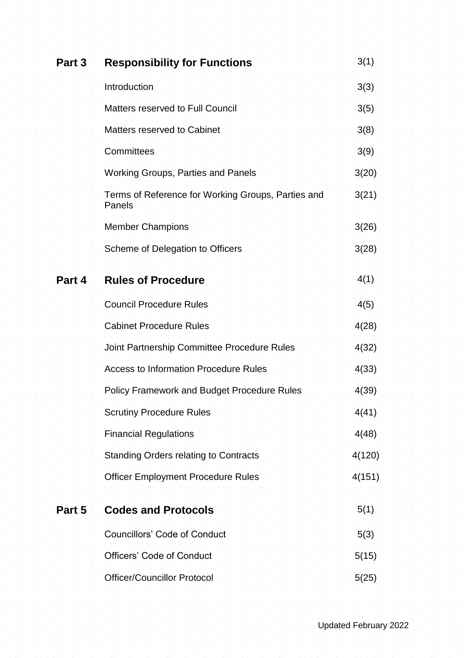| Part 3 | <b>Responsibility for Functions</b>                          | 3(1)   |
|--------|--------------------------------------------------------------|--------|
|        | Introduction                                                 | 3(3)   |
|        | <b>Matters reserved to Full Council</b>                      | 3(5)   |
|        | Matters reserved to Cabinet                                  | 3(8)   |
|        | Committees                                                   | 3(9)   |
|        | <b>Working Groups, Parties and Panels</b>                    | 3(20)  |
|        | Terms of Reference for Working Groups, Parties and<br>Panels | 3(21)  |
|        | <b>Member Champions</b>                                      | 3(26)  |
|        | Scheme of Delegation to Officers                             | 3(28)  |
| Part 4 | <b>Rules of Procedure</b>                                    | 4(1)   |
|        | <b>Council Procedure Rules</b>                               | 4(5)   |
|        | <b>Cabinet Procedure Rules</b>                               | 4(28)  |
|        | Joint Partnership Committee Procedure Rules                  | 4(32)  |
|        | <b>Access to Information Procedure Rules</b>                 | 4(33)  |
|        | <b>Policy Framework and Budget Procedure Rules</b>           | 4(39)  |
|        | <b>Scrutiny Procedure Rules</b>                              | 4(41)  |
|        | <b>Financial Regulations</b>                                 | 4(48)  |
|        | <b>Standing Orders relating to Contracts</b>                 | 4(120) |
|        | <b>Officer Employment Procedure Rules</b>                    | 4(151) |
| Part 5 | <b>Codes and Protocols</b>                                   | 5(1)   |
|        | <b>Councillors' Code of Conduct</b>                          | 5(3)   |
|        | <b>Officers' Code of Conduct</b>                             | 5(15)  |
|        | <b>Officer/Councillor Protocol</b>                           | 5(25)  |